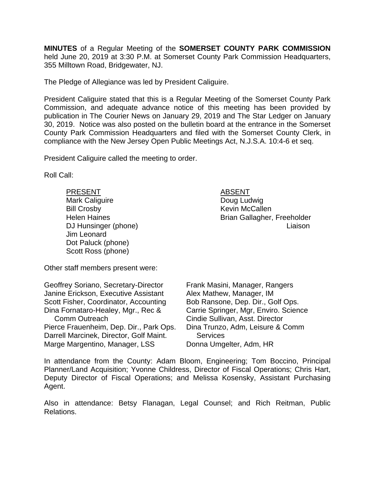**MINUTES** of a Regular Meeting of the **SOMERSET COUNTY PARK COMMISSION** held June 20, 2019 at 3:30 P.M. at Somerset County Park Commission Headquarters, 355 Milltown Road, Bridgewater, NJ.

The Pledge of Allegiance was led by President Caliguire.

President Caliguire stated that this is a Regular Meeting of the Somerset County Park Commission, and adequate advance notice of this meeting has been provided by publication in The Courier News on January 29, 2019 and The Star Ledger on January 30, 2019. Notice was also posted on the bulletin board at the entrance in the Somerset County Park Commission Headquarters and filed with the Somerset County Clerk, in compliance with the New Jersey Open Public Meetings Act, N.J.S.A. 10:4-6 et seq.

President Caliguire called the meeting to order.

Roll Call:

PRESENT ABSENT Mark Caliguire **Doug Ludwig** Bill Crosby **Kevin McCallen** Jim Leonard Dot Paluck (phone) Scott Ross (phone)

Other staff members present were:

| Geoffrey Soriano, Secretary-Director    | Frank Masini, Manager, Rangers        |
|-----------------------------------------|---------------------------------------|
| Janine Erickson, Executive Assistant    | Alex Mathew, Manager, IM              |
| Scott Fisher, Coordinator, Accounting   | Bob Ransone, Dep. Dir., Golf Ops.     |
| Dina Fornataro-Healey, Mgr., Rec &      | Carrie Springer, Mgr, Enviro. Science |
| <b>Comm Outreach</b>                    | Cindie Sullivan, Asst. Director       |
| Pierce Frauenheim, Dep. Dir., Park Ops. | Dina Trunzo, Adm, Leisure & Comm      |
| Darrell Marcinek, Director, Golf Maint. | <b>Services</b>                       |
| Marge Margentino, Manager, LSS          | Donna Umgelter, Adm, HR               |

In attendance from the County: Adam Bloom, Engineering; Tom Boccino, Principal Planner/Land Acquisition; Yvonne Childress, Director of Fiscal Operations; Chris Hart, Deputy Director of Fiscal Operations; and Melissa Kosensky, Assistant Purchasing Agent.

Also in attendance: Betsy Flanagan, Legal Counsel; and Rich Reitman, Public Relations.

Helen Haines **Brian Gallagher, Freeholder** DJ Hunsinger (phone) Liaison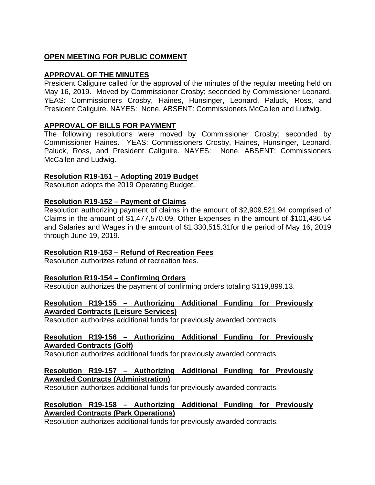# **OPEN MEETING FOR PUBLIC COMMENT**

# **APPROVAL OF THE MINUTES**

President Caliguire called for the approval of the minutes of the regular meeting held on May 16, 2019. Moved by Commissioner Crosby; seconded by Commissioner Leonard. YEAS: Commissioners Crosby, Haines, Hunsinger, Leonard, Paluck, Ross, and President Caliguire. NAYES: None. ABSENT: Commissioners McCallen and Ludwig.

# **APPROVAL OF BILLS FOR PAYMENT**

The following resolutions were moved by Commissioner Crosby; seconded by Commissioner Haines. YEAS: Commissioners Crosby, Haines, Hunsinger, Leonard, Paluck, Ross, and President Caliguire. NAYES: None. ABSENT: Commissioners McCallen and Ludwig.

# **Resolution R19-151 – Adopting 2019 Budget**

Resolution adopts the 2019 Operating Budget.

# **Resolution R19-152 – Payment of Claims**

Resolution authorizing payment of claims in the amount of \$2,909,521.94 comprised of Claims in the amount of \$1,477,570.09, Other Expenses in the amount of \$101,436.54 and Salaries and Wages in the amount of \$1,330,515.31for the period of May 16, 2019 through June 19, 2019.

# **Resolution R19-153 – Refund of Recreation Fees**

Resolution authorizes refund of recreation fees.

### **Resolution R19-154 – Confirming Orders**

Resolution authorizes the payment of confirming orders totaling \$119,899.13.

### **Resolution R19-155 – Authorizing Additional Funding for Previously Awarded Contracts (Leisure Services)**

Resolution authorizes additional funds for previously awarded contracts.

### **Resolution R19-156 – Authorizing Additional Funding for Previously Awarded Contracts (Golf)**

Resolution authorizes additional funds for previously awarded contracts.

# **Resolution R19-157 – Authorizing Additional Funding for Previously Awarded Contracts (Administration)**

Resolution authorizes additional funds for previously awarded contracts.

# **Resolution R19-158 – Authorizing Additional Funding for Previously Awarded Contracts (Park Operations)**

Resolution authorizes additional funds for previously awarded contracts.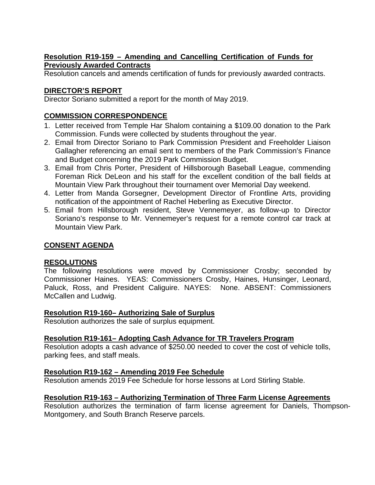# **Resolution R19-159 – Amending and Cancelling Certification of Funds for Previously Awarded Contracts**

Resolution cancels and amends certification of funds for previously awarded contracts.

# **DIRECTOR'S REPORT**

Director Soriano submitted a report for the month of May 2019.

# **COMMISSION CORRESPONDENCE**

- 1. Letter received from Temple Har Shalom containing a \$109.00 donation to the Park Commission. Funds were collected by students throughout the year.
- 2. Email from Director Soriano to Park Commission President and Freeholder Liaison Gallagher referencing an email sent to members of the Park Commission's Finance and Budget concerning the 2019 Park Commission Budget.
- 3. Email from Chris Porter, President of Hillsborough Baseball League, commending Foreman Rick DeLeon and his staff for the excellent condition of the ball fields at Mountain View Park throughout their tournament over Memorial Day weekend.
- 4. Letter from Manda Gorsegner, Development Director of Frontline Arts, providing notification of the appointment of Rachel Heberling as Executive Director.
- 5. Email from Hillsborough resident, Steve Vennemeyer, as follow-up to Director Soriano's response to Mr. Vennemeyer's request for a remote control car track at Mountain View Park.

# **CONSENT AGENDA**

### **RESOLUTIONS**

The following resolutions were moved by Commissioner Crosby; seconded by Commissioner Haines. YEAS: Commissioners Crosby, Haines, Hunsinger, Leonard, Paluck, Ross, and President Caliguire. NAYES: None. ABSENT: Commissioners McCallen and Ludwig.

# **Resolution R19-160– Authorizing Sale of Surplus**

Resolution authorizes the sale of surplus equipment.

# **Resolution R19-161– Adopting Cash Advance for TR Travelers Program**

Resolution adopts a cash advance of \$250.00 needed to cover the cost of vehicle tolls, parking fees, and staff meals.

### **Resolution R19-162 – Amending 2019 Fee Schedule**

Resolution amends 2019 Fee Schedule for horse lessons at Lord Stirling Stable.

### **Resolution R19-163 – Authorizing Termination of Three Farm License Agreements**

Resolution authorizes the termination of farm license agreement for Daniels, Thompson-Montgomery, and South Branch Reserve parcels.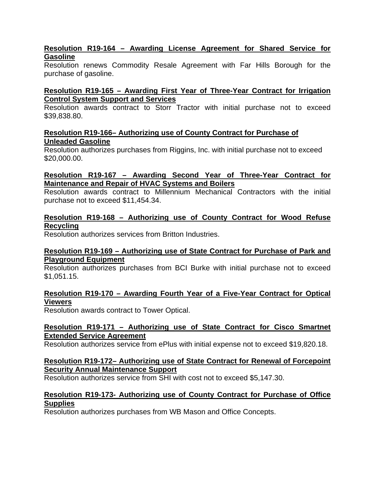### **Resolution R19-164 – Awarding License Agreement for Shared Service for Gasoline**

Resolution renews Commodity Resale Agreement with Far Hills Borough for the purchase of gasoline.

# **Resolution R19-165 – Awarding First Year of Three-Year Contract for Irrigation Control System Support and Services**

Resolution awards contract to Storr Tractor with initial purchase not to exceed \$39,838.80.

# **Resolution R19-166– Authorizing use of County Contract for Purchase of Unleaded Gasoline**

Resolution authorizes purchases from Riggins, Inc. with initial purchase not to exceed \$20,000.00.

### **Resolution R19-167 – Awarding Second Year of Three-Year Contract for Maintenance and Repair of HVAC Systems and Boilers**

Resolution awards contract to Millennium Mechanical Contractors with the initial purchase not to exceed \$11,454.34.

### **Resolution R19-168 – Authorizing use of County Contract for Wood Refuse Recycling**

Resolution authorizes services from Britton Industries.

### **Resolution R19-169 – Authorizing use of State Contract for Purchase of Park and Playground Equipment**

Resolution authorizes purchases from BCI Burke with initial purchase not to exceed \$1,051.15.

# **Resolution R19-170 – Awarding Fourth Year of a Five-Year Contract for Optical Viewers**

Resolution awards contract to Tower Optical.

### **Resolution R19-171 – Authorizing use of State Contract for Cisco Smartnet Extended Service Agreement**

Resolution authorizes service from ePlus with initial expense not to exceed \$19,820.18.

### **Resolution R19-172– Authorizing use of State Contract for Renewal of Forcepoint Security Annual Maintenance Support**

Resolution authorizes service from SHI with cost not to exceed \$5,147.30.

# **Resolution R19-173- Authorizing use of County Contract for Purchase of Office Supplies**

Resolution authorizes purchases from WB Mason and Office Concepts.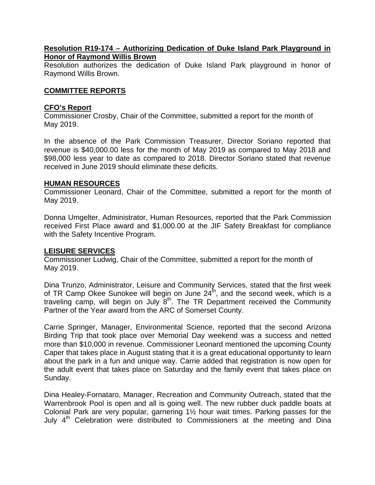#### **Resolution R19-174 – Authorizing Dedication of Duke Island Park Playground in Honor of Raymond Willis Brown**

Resolution authorizes the dedication of Duke Island Park playground in honor of Raymond Willis Brown.

#### **COMMITTEE REPORTS**

#### **CFO's Report**

Commissioner Crosby, Chair of the Committee, submitted a report for the month of May 2019.

In the absence of the Park Commission Treasurer, Director Soriano reported that revenue is \$40,000.00 less for the month of May 2019 as compared to May 2018 and \$98,000 less year to date as compared to 2018. Director Soriano stated that revenue received in June 2019 should eliminate these deficits.

#### **HUMAN RESOURCES**

Commissioner Leonard, Chair of the Committee, submitted a report for the month of May 2019.

Donna Umgelter, Administrator, Human Resources, reported that the Park Commission received First Place award and \$1,000.00 at the JIF Safety Breakfast for compliance with the Safety Incentive Program.

#### **LEISURE SERVICES**

Commissioner Ludwig, Chair of the Committee, submitted a report for the month of May 2019.

Dina Trunzo, Administrator, Leisure and Community Services, stated that the first week of TR Camp Okee Sunokee will begin on June  $24<sup>th</sup>$ , and the second week, which is a traveling camp, will begin on July 8th. The TR Department received the Community Partner of the Year award from the ARC of Somerset County.

Carrie Springer, Manager, Environmental Science, reported that the second Arizona Birding Trip that took place over Memorial Day weekend was a success and netted more than \$10,000 in revenue. Commissioner Leonard mentioned the upcoming County Caper that takes place in August stating that it is a great educational opportunity to learn about the park in a fun and unique way. Carrie added that registration is now open for the adult event that takes place on Saturday and the family event that takes place on Sunday.

Dina Healey-Fornataro, Manager, Recreation and Community Outreach, stated that the Warrenbrook Pool is open and all is going well. The new rubber duck paddle boats at Colonial Park are very popular, garnering 1½ hour wait times. Parking passes for the July 4<sup>th</sup> Celebration were distributed to Commissioners at the meeting and Dina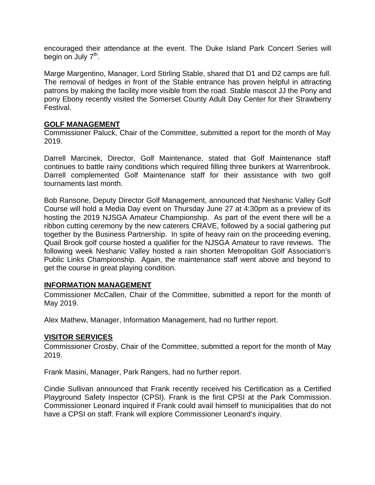encouraged their attendance at the event. The Duke Island Park Concert Series will begin on July  $7<sup>th</sup>$ .

Marge Margentino, Manager, Lord Stirling Stable, shared that D1 and D2 camps are full. The removal of hedges in front of the Stable entrance has proven helpful in attracting patrons by making the facility more visible from the road. Stable mascot JJ the Pony and pony Ebony recently visited the Somerset County Adult Day Center for their Strawberry Festival.

# **GOLF MANAGEMENT**

Commissioner Paluck, Chair of the Committee, submitted a report for the month of May 2019.

Darrell Marcinek, Director, Golf Maintenance, stated that Golf Maintenance staff continues to battle rainy conditions which required filling three bunkers at Warrenbrook. Darrell complemented Golf Maintenance staff for their assistance with two golf tournaments last month.

Bob Ransone, Deputy Director Golf Management, announced that Neshanic Valley Golf Course will hold a Media Day event on Thursday June 27 at 4:30pm as a preview of its hosting the 2019 NJSGA Amateur Championship. As part of the event there will be a ribbon cutting ceremony by the new caterers CRAVE, followed by a social gathering put together by the Business Partnership. In spite of heavy rain on the proceeding evening, Quail Brook golf course hosted a qualifier for the NJSGA Amateur to rave reviews. The following week Neshanic Valley hosted a rain shorten Metropolitan Golf Association's Public Links Championship. Again, the maintenance staff went above and beyond to get the course in great playing condition.

### **INFORMATION MANAGEMENT**

Commissioner McCallen, Chair of the Committee, submitted a report for the month of May 2019.

Alex Mathew, Manager, Information Management, had no further report.

# **VISITOR SERVICES**

Commissioner Crosby, Chair of the Committee, submitted a report for the month of May 2019.

Frank Masini, Manager, Park Rangers, had no further report.

Cindie Sullivan announced that Frank recently received his Certification as a Certified Playground Safety Inspector (CPSI). Frank is the first CPSI at the Park Commission. Commissioner Leonard inquired if Frank could avail himself to municipalities that do not have a CPSI on staff. Frank will explore Commissioner Leonard's inquiry.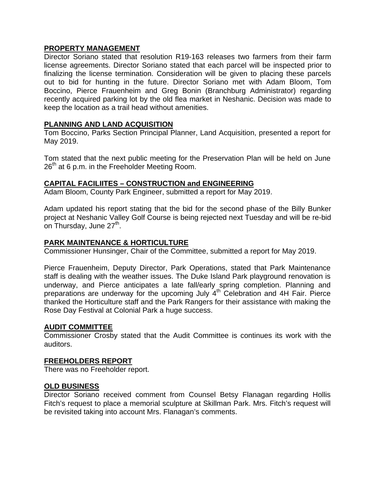#### **PROPERTY MANAGEMENT**

Director Soriano stated that resolution R19-163 releases two farmers from their farm license agreements. Director Soriano stated that each parcel will be inspected prior to finalizing the license termination. Consideration will be given to placing these parcels out to bid for hunting in the future. Director Soriano met with Adam Bloom, Tom Boccino, Pierce Frauenheim and Greg Bonin (Branchburg Administrator) regarding recently acquired parking lot by the old flea market in Neshanic. Decision was made to keep the location as a trail head without amenities.

### **PLANNING AND LAND ACQUISITION**

Tom Boccino, Parks Section Principal Planner, Land Acquisition, presented a report for May 2019.

Tom stated that the next public meeting for the Preservation Plan will be held on June  $26<sup>th</sup>$  at 6 p.m. in the Freeholder Meeting Room.

### **CAPITAL FACILIITES – CONSTRUCTION and ENGINEERING**

Adam Bloom, County Park Engineer, submitted a report for May 2019.

Adam updated his report stating that the bid for the second phase of the Billy Bunker project at Neshanic Valley Golf Course is being rejected next Tuesday and will be re-bid on Thursday, June 27<sup>th</sup>.

#### **PARK MAINTENANCE & HORTICULTURE**

Commissioner Hunsinger, Chair of the Committee, submitted a report for May 2019.

Pierce Frauenheim, Deputy Director, Park Operations, stated that Park Maintenance staff is dealing with the weather issues. The Duke Island Park playground renovation is underway, and Pierce anticipates a late fall/early spring completion. Planning and preparations are underway for the upcoming July 4<sup>th</sup> Celebration and 4H Fair. Pierce thanked the Horticulture staff and the Park Rangers for their assistance with making the Rose Day Festival at Colonial Park a huge success.

#### **AUDIT COMMITTEE**

Commissioner Crosby stated that the Audit Committee is continues its work with the auditors.

#### **FREEHOLDERS REPORT**

There was no Freeholder report.

### **OLD BUSINESS**

Director Soriano received comment from Counsel Betsy Flanagan regarding Hollis Fitch's request to place a memorial sculpture at Skillman Park. Mrs. Fitch's request will be revisited taking into account Mrs. Flanagan's comments.